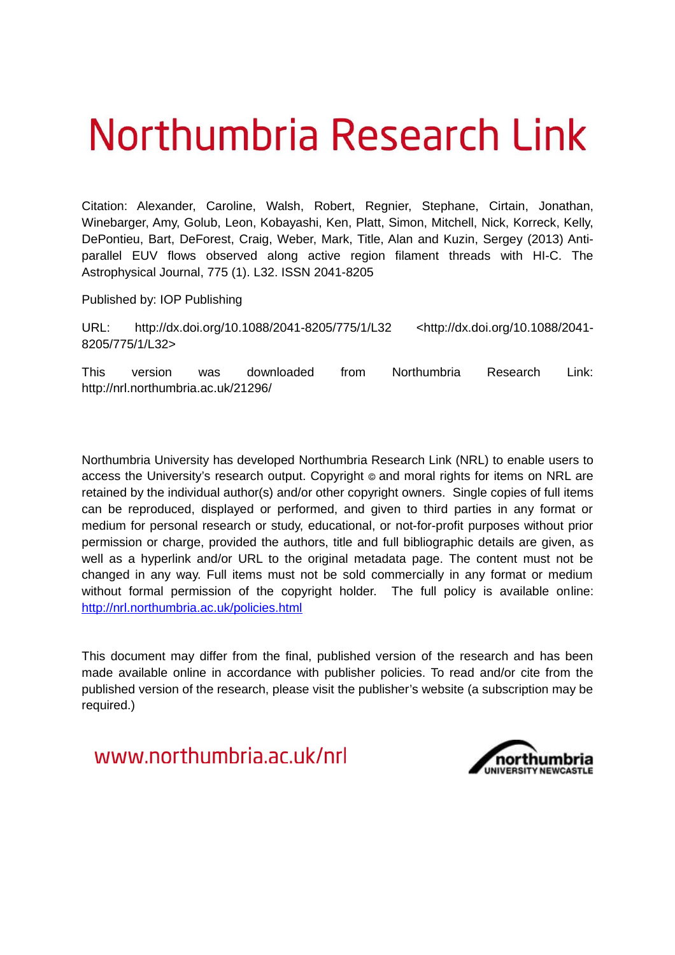# Northumbria Research Link

Citation: Alexander, Caroline, Walsh, Robert, Regnier, Stephane, Cirtain, Jonathan, Winebarger, Amy, Golub, Leon, Kobayashi, Ken, Platt, Simon, Mitchell, Nick, Korreck, Kelly, DePontieu, Bart, DeForest, Craig, Weber, Mark, Title, Alan and Kuzin, Sergey (2013) Antiparallel EUV flows observed along active region filament threads with HI-C. The Astrophysical Journal, 775 (1). L32. ISSN 2041-8205

Published by: IOP Publishing

URL: http://dx.doi.org/10.1088/2041-8205/775/1/L32 <http://dx.doi.org/10.1088/2041- 8205/775/1/L32>

This version was downloaded from Northumbria Research Link: http://nrl.northumbria.ac.uk/21296/

Northumbria University has developed Northumbria Research Link (NRL) to enable users to access the University's research output. Copyright  $\circ$  and moral rights for items on NRL are retained by the individual author(s) and/or other copyright owners. Single copies of full items can be reproduced, displayed or performed, and given to third parties in any format or medium for personal research or study, educational, or not-for-profit purposes without prior permission or charge, provided the authors, title and full bibliographic details are given, as well as a hyperlink and/or URL to the original metadata page. The content must not be changed in any way. Full items must not be sold commercially in any format or medium without formal permission of the copyright holder. The full policy is available online: <http://nrl.northumbria.ac.uk/policies.html>

This document may differ from the final, published version of the research and has been made available online in accordance with publisher policies. To read and/or cite from the published version of the research, please visit the publisher's website (a subscription may be required.)

www.northumbria.ac.uk/nrl

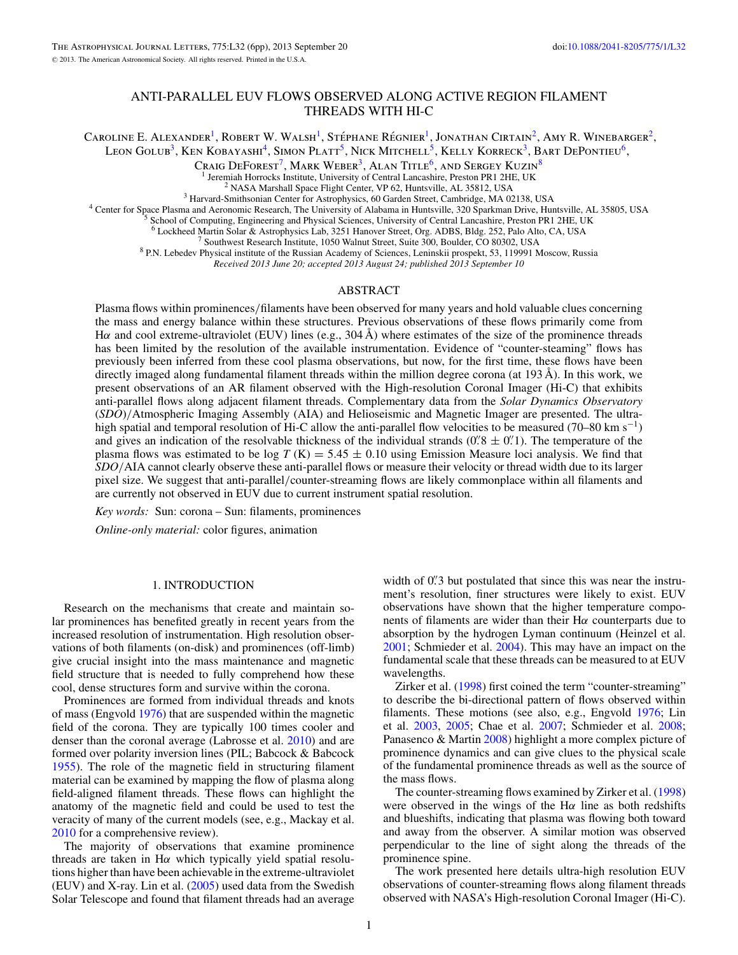# ANTI-PARALLEL EUV FLOWS OBSERVED ALONG ACTIVE REGION FILAMENT THREADS WITH HI-C

<span id="page-1-0"></span>Caroline E. Alexander<sup>1</sup>, Robert W. Walsh<sup>1</sup>, Stéphane Régnier<sup>1</sup>, Jonathan Cirtain<sup>2</sup>, Amy R. Winebarger<sup>2</sup>, Leon Golub<sup>3</sup>, Ken Kobayashi<sup>4</sup>, Simon Platt<sup>5</sup>, Nick Mitchell<sup>5</sup>, Kelly Korreck<sup>3</sup>, Bart DePontieu<sup>6</sup>,

CRAIG  $\text{DEFOREST}^7$ , MARK  $\text{WEBER}^3$ , ALAN TITLE<sup>6</sup>, AND SERGEY KUZIN<sup>8</sup>

Jeremiah Horrocks Institute, University of Central Lancashire, Preston PR1 2HE, UK

<sup>2</sup> NASA Marshall Space Flight Center, VP 62, Huntsville, AL 35812, USA

<sup>3</sup> Harvard-Smithsonian Center for Astrophysics, 60 Garden Street, Cambridge, MA 02138, USA

<sup>4</sup> Center for Space Plasma and Aeronomic Research, The University of Alabama in Huntsville, 320 Sparkman Drive, Huntsville, AL 35805, USA

<sup>5</sup> School of Computing, Engineering and Physical Sciences, University of Central Lancashire, Preston PR1 2HE, UK

<sup>6</sup> Lockheed Martin Solar & Astrophysics Lab, 3251 Hanover Street, Org. ADBS, Bldg. 252, Palo Alto, CA, USA

<sup>7</sup> Southwest Research Institute, 1050 Walnut Street, Suite 300, Boulder, CO 80302, USA

<sup>8</sup> P.N. Lebedev Physical institute of the Russian Academy of Sciences, Leninskii prospekt, 53, 119991 Moscow, Russia

*Received 2013 June 20; accepted 2013 August 24; published 2013 September 10*

### ABSTRACT

Plasma flows within prominences/filaments have been observed for many years and hold valuable clues concerning the mass and energy balance within these structures. Previous observations of these flows primarily come from H $\alpha$  and cool extreme-ultraviolet (EUV) lines (e.g., 304 Å) where estimates of the size of the prominence threads has been limited by the resolution of the available instrumentation. Evidence of "counter-steaming" flows has previously been inferred from these cool plasma observations, but now, for the first time, these flows have been directly imaged along fundamental filament threads within the million degree corona (at 193 Å). In this work, we present observations of an AR filament observed with the High-resolution Coronal Imager (Hi-C) that exhibits anti-parallel flows along adjacent filament threads. Complementary data from the *Solar Dynamics Observatory* (*SDO*)/Atmospheric Imaging Assembly (AIA) and Helioseismic and Magnetic Imager are presented. The ultrahigh spatial and temporal resolution of Hi-C allow the anti-parallel flow velocities to be measured (70–80 km s<sup>-1</sup>) and gives an indication of the resolvable thickness of the individual strands  $(0.8 \pm 0.1)$ . The temperature of the plasma flows was estimated to be  $\log T$  (K) = 5.45  $\pm$  0.10 using Emission Measure loci analysis. We find that *SDO*/AIA cannot clearly observe these anti-parallel flows or measure their velocity or thread width due to its larger pixel size. We suggest that anti-parallel/counter-streaming flows are likely commonplace within all filaments and are currently not observed in EUV due to current instrument spatial resolution.

*Key words:* Sun: corona – Sun: filaments, prominences

*Online-only material:* color figures, animation

#### 1. INTRODUCTION

Research on the mechanisms that create and maintain solar prominences has benefited greatly in recent years from the increased resolution of instrumentation. High resolution observations of both filaments (on-disk) and prominences (off-limb) give crucial insight into the mass maintenance and magnetic field structure that is needed to fully comprehend how these cool, dense structures form and survive within the corona.

Prominences are formed from individual threads and knots of mass (Engvold [1976\)](#page-4-0) that are suspended within the magnetic field of the corona. They are typically 100 times cooler and denser than the coronal average (Labrosse et al. [2010\)](#page-4-0) and are formed over polarity inversion lines (PIL; Babcock & Babcock [1955\)](#page-4-0). The role of the magnetic field in structuring filament material can be examined by mapping the flow of plasma along field-aligned filament threads. These flows can highlight the anatomy of the magnetic field and could be used to test the veracity of many of the current models (see, e.g., Mackay et al. [2010](#page-4-0) for a comprehensive review).

The majority of observations that examine prominence threads are taken in H $\alpha$  which typically yield spatial resolutions higher than have been achievable in the extreme-ultraviolet (EUV) and X-ray. Lin et al. [\(2005\)](#page-4-0) used data from the Swedish Solar Telescope and found that filament threads had an average

width of 0.'3 but postulated that since this was near the instrument's resolution, finer structures were likely to exist. EUV observations have shown that the higher temperature components of filaments are wider than their  $H\alpha$  counterparts due to absorption by the hydrogen Lyman continuum (Heinzel et al. [2001;](#page-4-0) Schmieder et al. [2004\)](#page-5-0). This may have an impact on the fundamental scale that these threads can be measured to at EUV wavelengths.

Zirker et al. [\(1998\)](#page-5-0) first coined the term "counter-streaming" to describe the bi-directional pattern of flows observed within filaments. These motions (see also, e.g., Engvold [1976;](#page-4-0) Lin et al. [2003,](#page-4-0) [2005;](#page-4-0) Chae et al. [2007;](#page-4-0) Schmieder et al. [2008;](#page-5-0) Panasenco & Martin [2008\)](#page-5-0) highlight a more complex picture of prominence dynamics and can give clues to the physical scale of the fundamental prominence threads as well as the source of the mass flows.

The counter-streaming flows examined by Zirker et al. [\(1998\)](#page-5-0) were observed in the wings of the  $H\alpha$  line as both redshifts and blueshifts, indicating that plasma was flowing both toward and away from the observer. A similar motion was observed perpendicular to the line of sight along the threads of the prominence spine.

The work presented here details ultra-high resolution EUV observations of counter-streaming flows along filament threads observed with NASA's High-resolution Coronal Imager (Hi-C).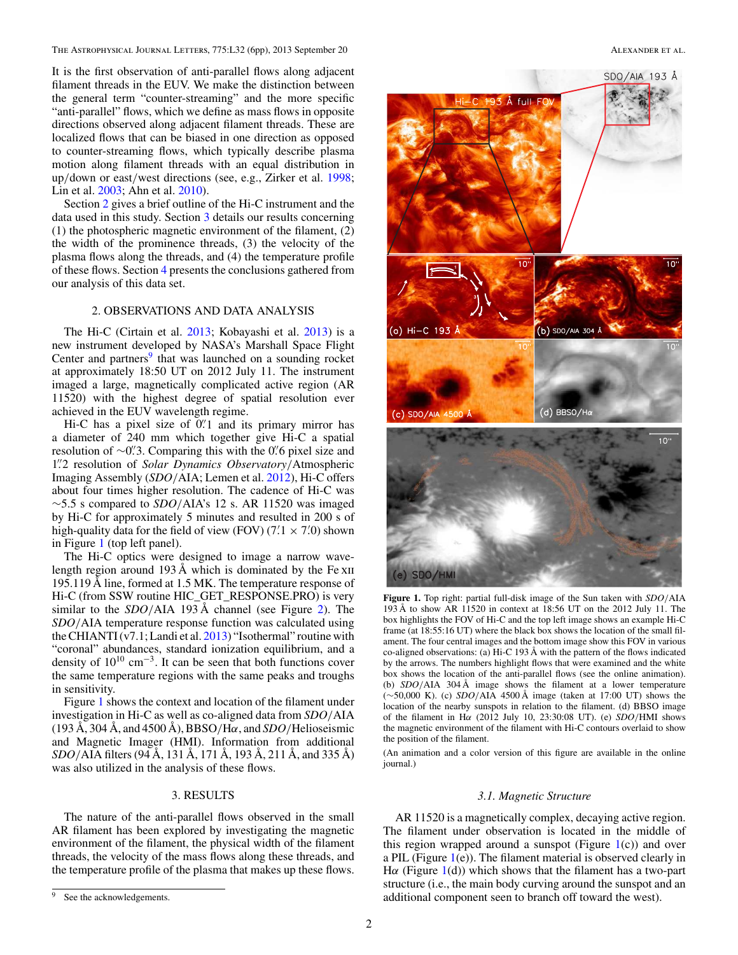<span id="page-2-0"></span>The Astrophysical Journal Letters, 775:L32 (6pp), 2013 September 20 ALEXANDER ET AL.

It is the first observation of anti-parallel flows along adjacent filament threads in the EUV. We make the distinction between the general term "counter-streaming" and the more specific "anti-parallel" flows, which we define as mass flows in opposite directions observed along adjacent filament threads. These are localized flows that can be biased in one direction as opposed to counter-streaming flows, which typically describe plasma motion along filament threads with an equal distribution in up/down or east/west directions (see, e.g., Zirker et al. [1998;](#page-5-0) Lin et al. [2003;](#page-4-0) Ahn et al. [2010\)](#page-4-0).

Section [2](#page-1-0) gives a brief outline of the Hi-C instrument and the data used in this study. Section [3](#page-1-0) details our results concerning (1) the photospheric magnetic environment of the filament, (2) the width of the prominence threads, (3) the velocity of the plasma flows along the threads, and (4) the temperature profile of these flows. Section [4](#page-3-0) presents the conclusions gathered from our analysis of this data set.

# 2. OBSERVATIONS AND DATA ANALYSIS

The Hi-C (Cirtain et al. [2013;](#page-4-0) Kobayashi et al. [2013\)](#page-4-0) is a new instrument developed by NASA's Marshall Space Flight Center and partners<sup>[9](#page-1-0)</sup> that was launched on a sounding rocket at approximately 18:50 UT on 2012 July 11. The instrument imaged a large, magnetically complicated active region (AR 11520) with the highest degree of spatial resolution ever achieved in the EUV wavelength regime.

Hi-C has a pixel size of 0.'1 and its primary mirror has a diameter of 240 mm which together give Hi-C a spatial resolution of ∼0". Comparing this with the 0" 6 pixel size and 1"2 resolution of Solar Dynamics Observatory/Atmospheric Imaging Assembly (*SDO*/AIA; Lemen et al. [2012\)](#page-4-0), Hi-C offers about four times higher resolution. The cadence of Hi-C was ∼5.5 s compared to *SDO*/AIA's 12 s. AR 11520 was imaged by Hi-C for approximately 5 minutes and resulted in 200 s of high-quality data for the field of view (FOV)  $(7.1 \times 7.0)$  shown in Figure [1](#page-1-0) (top left panel).

The Hi-C optics were designed to image a narrow wavelength region around 193 Å which is dominated by the Fe  $x_{II}$ 195.119 Å line, formed at 1.5 MK. The temperature response of Hi-C (from SSW routine HIC\_GET\_RESPONSE.PRO) is very similar to the *SDO*/AIA 193 Å channel (see Figure 2). The *SDO*/AIA temperature response function was calculated using the CHIANTI  $(v7.1;$  Landi et al.  $2013)$  "Isothermal" routine with "coronal" abundances, standard ionization equilibrium, and a density of  $10^{10}$  cm<sup>-3</sup>. It can be seen that both functions cover the same temperature regions with the same peaks and troughs in sensitivity.

Figure [1](#page-1-0) shows the context and location of the filament under investigation in Hi-C as well as co-aligned data from *SDO*/AIA  $(193 \text{ Å}, 304 \text{ Å}, \text{and } 4500 \text{ Å})$ , BBSO/H $\alpha$ , and *SDO*/Helioseismic and Magnetic Imager (HMI). Information from additional *SDO*/AIA filters (94 Å, 131 Å, 171 Å, 193 Å, 211 Å, and 335 Å) was also utilized in the analysis of these flows.

# 3. RESULTS

The nature of the anti-parallel flows observed in the small AR filament has been explored by investigating the magnetic environment of the filament, the physical width of the filament threads, the velocity of the mass flows along these threads, and the temperature profile of the plasma that makes up these flows.



**Figure 1.** Top right: partial full-disk image of the Sun taken with *SDO*/AIA 193 Å to show AR 11520 in context at 18:56 UT on the 2012 July 11. The box highlights the FOV of Hi-C and the top left image shows an example Hi-C frame (at 18:55:16 UT) where the black box shows the location of the small filament. The four central images and the bottom image show this FOV in various co-aligned observations: (a) Hi-C 193 Å with the pattern of the flows indicated by the arrows. The numbers highlight flows that were examined and the white box shows the location of the anti-parallel flows (see the online animation). (b) *SDO*/AIA 304 Å image shows the filament at a lower temperature (∼50,000 K). (c) *SDO*/AIA 4500 Å image (taken at 17:00 UT) shows the location of the nearby sunspots in relation to the filament. (d) BBSO image of the filament in H $\alpha$  (2012 July 10, 23:30:08 UT). (e) *SDO*/HMI shows the magnetic environment of the filament with Hi-C contours overlaid to show the position of the filament.

(An animation and a color version of this figure are available in the online journal.)

## *3.1. Magnetic Structure*

AR 11520 is a magnetically complex, decaying active region. The filament under observation is located in the middle of this region wrapped around a sunspot (Figure  $1(c)$  $1(c)$ ) and over a PIL (Figure  $1(e)$  $1(e)$ ). The filament material is observed clearly in H $\alpha$  (Figure [1\(](#page-1-0)d)) which shows that the filament has a two-part structure (i.e., the main body curving around the sunspot and an additional component seen to branch off toward the west).

See the acknowledgements.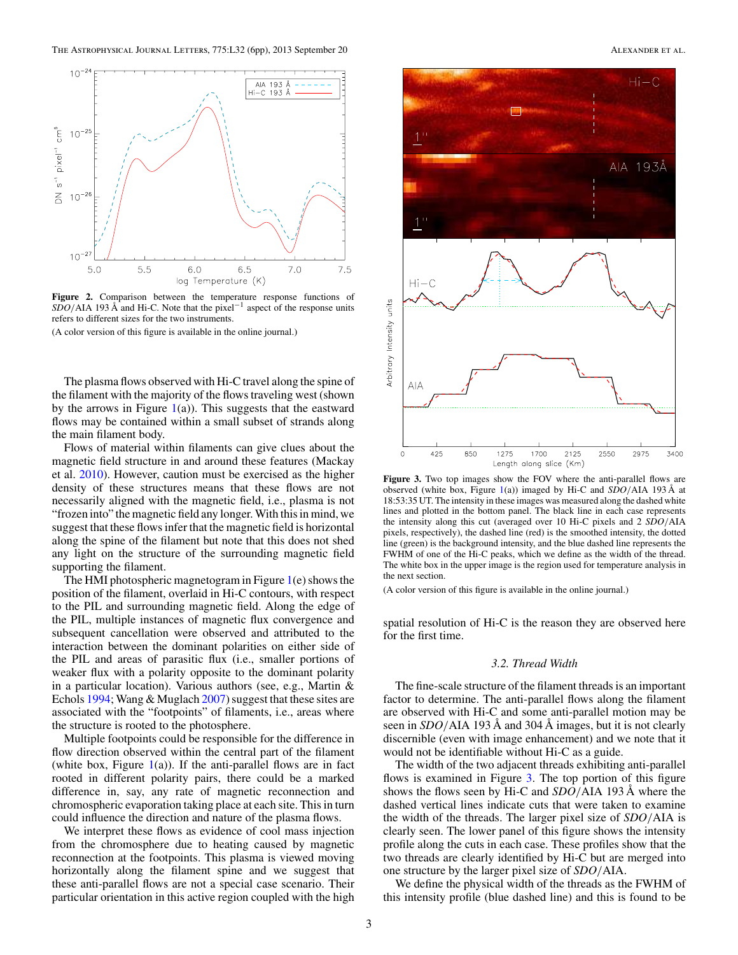<span id="page-3-0"></span>

**Figure 2.** Comparison between the temperature response functions of *SDO*/AIA 193 Å and Hi-C. Note that the pixel<sup>-1</sup> aspect of the response units refers to different sizes for the two instruments.

(A color version of this figure is available in the online journal.)

The plasma flows observed with Hi-C travel along the spine of the filament with the majority of the flows traveling west (shown by the arrows in Figure  $1(a)$  $1(a)$ ). This suggests that the eastward flows may be contained within a small subset of strands along the main filament body.

Flows of material within filaments can give clues about the magnetic field structure in and around these features (Mackay et al. [2010\)](#page-4-0). However, caution must be exercised as the higher density of these structures means that these flows are not necessarily aligned with the magnetic field, i.e., plasma is not "frozen into" the magnetic field any longer. With this in mind, we suggest that these flows infer that the magnetic field is horizontal along the spine of the filament but note that this does not shed any light on the structure of the surrounding magnetic field supporting the filament.

The HMI photospheric magnetogram in Figure  $1(e)$  $1(e)$  shows the position of the filament, overlaid in Hi-C contours, with respect to the PIL and surrounding magnetic field. Along the edge of the PIL, multiple instances of magnetic flux convergence and subsequent cancellation were observed and attributed to the interaction between the dominant polarities on either side of the PIL and areas of parasitic flux (i.e., smaller portions of weaker flux with a polarity opposite to the dominant polarity in a particular location). Various authors (see, e.g., Martin & Echols [1994;](#page-4-0) Wang & Muglach [2007\)](#page-5-0) suggest that these sites are associated with the "footpoints" of filaments, i.e., areas where the structure is rooted to the photosphere.

Multiple footpoints could be responsible for the difference in flow direction observed within the central part of the filament (white box, Figure  $1(a)$  $1(a)$ ). If the anti-parallel flows are in fact rooted in different polarity pairs, there could be a marked difference in, say, any rate of magnetic reconnection and chromospheric evaporation taking place at each site. This in turn could influence the direction and nature of the plasma flows.

We interpret these flows as evidence of cool mass injection from the chromosphere due to heating caused by magnetic reconnection at the footpoints. This plasma is viewed moving horizontally along the filament spine and we suggest that these anti-parallel flows are not a special case scenario. Their particular orientation in this active region coupled with the high



**Figure 3.** Two top images show the FOV where the anti-parallel flows are observed (white box, Figure [1\(](#page-1-0)a)) imaged by Hi-C and *SDO*/AIA 193 Å at 18:53:35 UT. The intensity in these images was measured along the dashed white lines and plotted in the bottom panel. The black line in each case represents the intensity along this cut (averaged over 10 Hi-C pixels and 2 *SDO*/AIA pixels, respectively), the dashed line (red) is the smoothed intensity, the dotted line (green) is the background intensity, and the blue dashed line represents the FWHM of one of the Hi-C peaks, which we define as the width of the thread. The white box in the upper image is the region used for temperature analysis in the next section.

(A color version of this figure is available in the online journal.)

spatial resolution of Hi-C is the reason they are observed here for the first time.

#### *3.2. Thread Width*

The fine-scale structure of the filament threads is an important factor to determine. The anti-parallel flows along the filament are observed with Hi-C and some anti-parallel motion may be seen in *SDO*/AIA 193 Å and 304 Å images, but it is not clearly discernible (even with image enhancement) and we note that it would not be identifiable without Hi-C as a guide.

The width of the two adjacent threads exhibiting anti-parallel flows is examined in Figure [3.](#page-2-0) The top portion of this figure shows the flows seen by Hi-C and *SDO*/AIA 193 Å where the dashed vertical lines indicate cuts that were taken to examine the width of the threads. The larger pixel size of *SDO*/AIA is clearly seen. The lower panel of this figure shows the intensity profile along the cuts in each case. These profiles show that the two threads are clearly identified by Hi-C but are merged into one structure by the larger pixel size of *SDO*/AIA.

We define the physical width of the threads as the FWHM of this intensity profile (blue dashed line) and this is found to be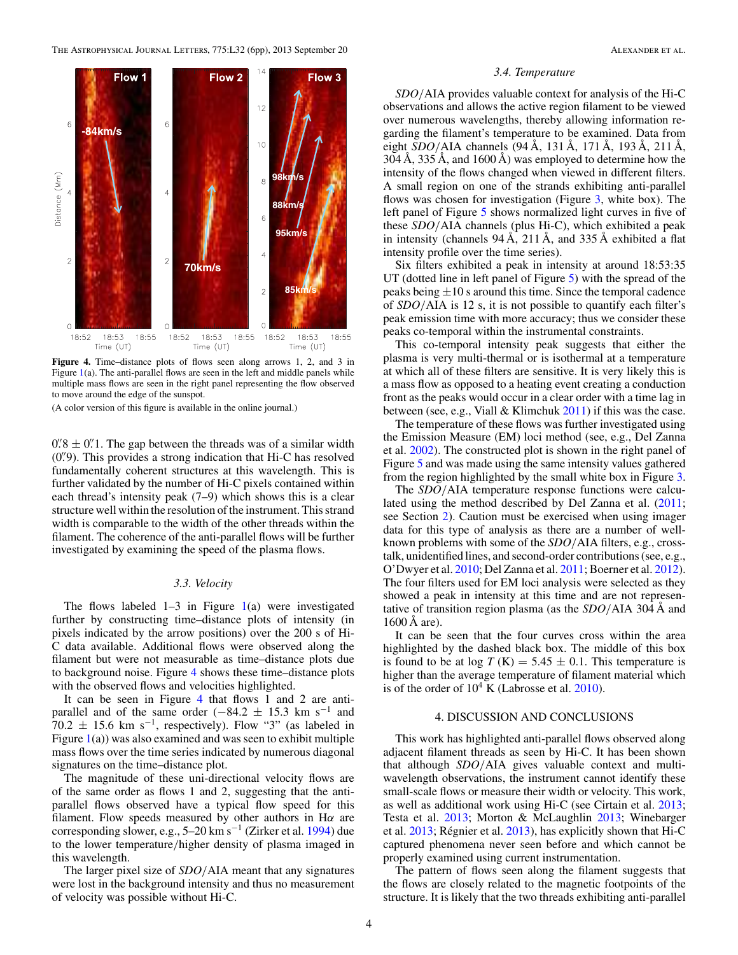<span id="page-4-0"></span>

**Figure 4.** Time–distance plots of flows seen along arrows 1, 2, and 3 in Figure  $1(a)$  $1(a)$ . The anti-parallel flows are seen in the left and middle panels while multiple mass flows are seen in the right panel representing the flow observed to move around the edge of the sunspot.

(A color version of this figure is available in the online journal.)

 $0''/8 \pm 0''$ . The gap between the threads was of a similar width (0".9). This provides a strong indication that Hi-C has resolved fundamentally coherent structures at this wavelength. This is further validated by the number of Hi-C pixels contained within each thread's intensity peak (7–9) which shows this is a clear structure well within the resolution of the instrument. This strand width is comparable to the width of the other threads within the filament. The coherence of the anti-parallel flows will be further investigated by examining the speed of the plasma flows.

### *3.3. Velocity*

The flows labeled  $1-3$  in Figure  $1(a)$  $1(a)$  were investigated further by constructing time–distance plots of intensity (in pixels indicated by the arrow positions) over the 200 s of Hi-C data available. Additional flows were observed along the filament but were not measurable as time–distance plots due to background noise. Figure [4](#page-3-0) shows these time–distance plots with the observed flows and velocities highlighted.

It can be seen in Figure [4](#page-3-0) that flows 1 and 2 are antiparallel and of the same order  $(-84.2 \pm 15.3 \text{ km s}^{-1})$  and  $70.2 \pm 15.6$  km s<sup>-1</sup>, respectively). Flow "3" (as labeled in Figure  $1(a)$  $1(a)$ ) was also examined and was seen to exhibit multiple mass flows over the time series indicated by numerous diagonal signatures on the time–distance plot.

The magnitude of these uni-directional velocity flows are of the same order as flows 1 and 2, suggesting that the antiparallel flows observed have a typical flow speed for this filament. Flow speeds measured by other authors in  $H\alpha$  are corresponding slower, e.g., 5–20 km s<sup>−</sup><sup>1</sup> (Zirker et al. [1994\)](#page-5-0) due to the lower temperature/higher density of plasma imaged in this wavelength.

The larger pixel size of *SDO*/AIA meant that any signatures were lost in the background intensity and thus no measurement of velocity was possible without Hi-C.

#### *3.4. Temperature*

*SDO*/AIA provides valuable context for analysis of the Hi-C observations and allows the active region filament to be viewed over numerous wavelengths, thereby allowing information regarding the filament's temperature to be examined. Data from eight *SDO*/AIA channels (94 Å, 131 Å, 171 Å, 193 Å, 211 Å, 304 Å, 335 Å, and 1600 Å) was employed to determine how the intensity of the flows changed when viewed in different filters. A small region on one of the strands exhibiting anti-parallel flows was chosen for investigation (Figure [3,](#page-2-0) white box). The left panel of Figure 5 shows normalized light curves in five of these *SDO*/AIA channels (plus Hi-C), which exhibited a peak in intensity (channels 94 Å, 211 Å, and 335 Å exhibited a flat intensity profile over the time series).

Six filters exhibited a peak in intensity at around 18:53:35 UT (dotted line in left panel of Figure 5) with the spread of the peaks being  $\pm 10$  s around this time. Since the temporal cadence of *SDO*/AIA is 12 s, it is not possible to quantify each filter's peak emission time with more accuracy; thus we consider these peaks co-temporal within the instrumental constraints.

This co-temporal intensity peak suggests that either the plasma is very multi-thermal or is isothermal at a temperature at which all of these filters are sensitive. It is very likely this is a mass flow as opposed to a heating event creating a conduction front as the peaks would occur in a clear order with a time lag in between (see, e.g., Viall & Klimchuk [2011\)](#page-5-0) if this was the case.

The temperature of these flows was further investigated using the Emission Measure (EM) loci method (see, e.g., Del Zanna et al. 2002). The constructed plot is shown in the right panel of Figure 5 and was made using the same intensity values gathered from the region highlighted by the small white box in Figure [3.](#page-2-0)

The *SDO*/AIA temperature response functions were calculated using the method described by Del Zanna et al. (2011; see Section [2\)](#page-1-0). Caution must be exercised when using imager data for this type of analysis as there are a number of wellknown problems with some of the *SDO*/AIA filters, e.g., crosstalk, unidentified lines, and second-order contributions (see, e.g., O'Dwyer et al. 2010; Del Zanna et al. 2011; Boerner et al. 2012). The four filters used for EM loci analysis were selected as they showed a peak in intensity at this time and are not representative of transition region plasma (as the *SDO*/AIA 304 Å and 1600 Å are).

It can be seen that the four curves cross within the area highlighted by the dashed black box. The middle of this box is found to be at  $log T(K) = 5.45 \pm 0.1$ . This temperature is higher than the average temperature of filament material which is of the order of  $10^4$  K (Labrosse et al. 2010).

### 4. DISCUSSION AND CONCLUSIONS

This work has highlighted anti-parallel flows observed along adjacent filament threads as seen by Hi-C. It has been shown that although *SDO*/AIA gives valuable context and multiwavelength observations, the instrument cannot identify these small-scale flows or measure their width or velocity. This work, as well as additional work using Hi-C (see Cirtain et al. 2013; Testa et al. [2013;](#page-5-0) Morton & McLaughlin 2013; Winebarger et al.  $2013$ ; Régnier et al.  $2013$ ), has explicitly shown that Hi-C captured phenomena never seen before and which cannot be properly examined using current instrumentation.

The pattern of flows seen along the filament suggests that the flows are closely related to the magnetic footpoints of the structure. It is likely that the two threads exhibiting anti-parallel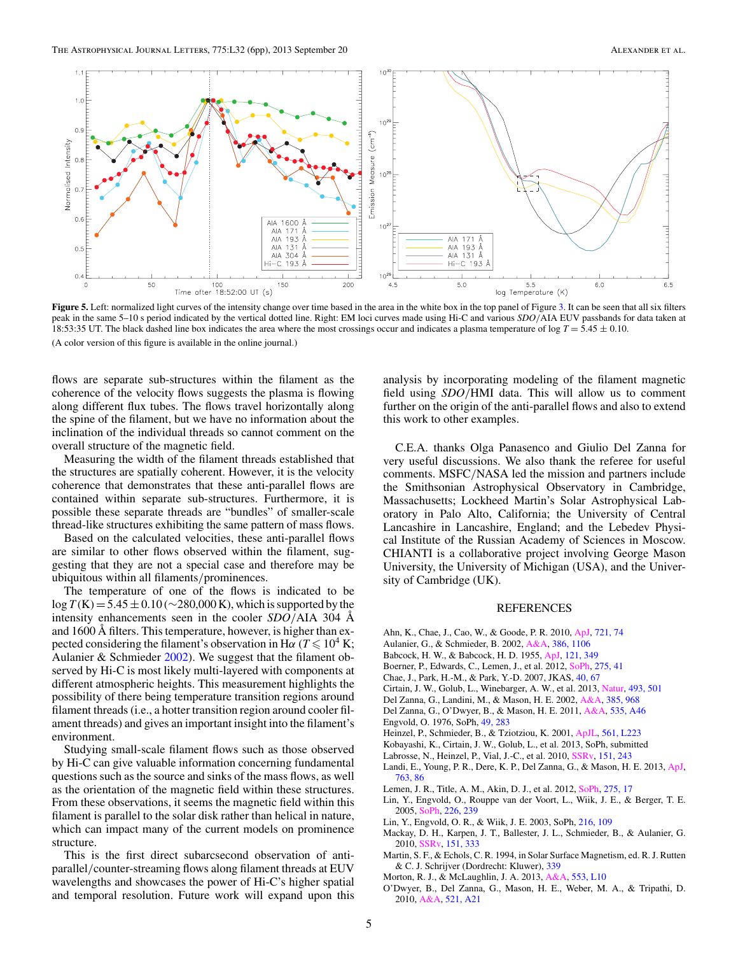<span id="page-5-0"></span>

Figure 5. Left: normalized light curves of the intensity change over time based in the area in the white box in the top panel of Figure [3.](#page-2-0) It can be seen that all six filters peak in the same 5–10 s period indicated by the vertical dotted line. Right: EM loci curves made using Hi-C and various *SDO*/AIA EUV passbands for data taken at 18:53:35 UT. The black dashed line box indicates the area where the most crossings occur and indicates a plasma temperature of log *T* = 5.45 ± 0.10. (A color version of this figure is available in the online journal.)

flows are separate sub-structures within the filament as the coherence of the velocity flows suggests the plasma is flowing along different flux tubes. The flows travel horizontally along the spine of the filament, but we have no information about the inclination of the individual threads so cannot comment on the overall structure of the magnetic field.

Measuring the width of the filament threads established that the structures are spatially coherent. However, it is the velocity coherence that demonstrates that these anti-parallel flows are contained within separate sub-structures. Furthermore, it is possible these separate threads are "bundles" of smaller-scale thread-like structures exhibiting the same pattern of mass flows.

Based on the calculated velocities, these anti-parallel flows are similar to other flows observed within the filament, suggesting that they are not a special case and therefore may be ubiquitous within all filaments/prominences.

The temperature of one of the flows is indicated to be log  $T(K)$  = 5.45 ± 0.10 (∼280,000 K), which is supported by the intensity enhancements seen in the cooler *SDO*/AIA 304 Å and 1600 Å filters. This temperature, however, is higher than expected considering the filament's observation in H $\alpha$  ( $T \leqslant 10^4$  K; Aulanier & Schmieder [2002\)](#page-4-0). We suggest that the filament observed by Hi-C is most likely multi-layered with components at different atmospheric heights. This measurement highlights the possibility of there being temperature transition regions around filament threads (i.e., a hotter transition region around cooler filament threads) and gives an important insight into the filament's environment.

Studying small-scale filament flows such as those observed by Hi-C can give valuable information concerning fundamental questions such as the source and sinks of the mass flows, as well as the orientation of the magnetic field within these structures. From these observations, it seems the magnetic field within this filament is parallel to the solar disk rather than helical in nature, which can impact many of the current models on prominence structure.

This is the first direct subarcsecond observation of antiparallel/counter-streaming flows along filament threads at EUV wavelengths and showcases the power of Hi-C's higher spatial and temporal resolution. Future work will expand upon this analysis by incorporating modeling of the filament magnetic field using *SDO*/HMI data. This will allow us to comment further on the origin of the anti-parallel flows and also to extend this work to other examples.

C.E.A. thanks Olga Panasenco and Giulio Del Zanna for very useful discussions. We also thank the referee for useful comments. MSFC/NASA led the mission and partners include the Smithsonian Astrophysical Observatory in Cambridge, Massachusetts; Lockheed Martin's Solar Astrophysical Laboratory in Palo Alto, California; the University of Central Lancashire in Lancashire, England; and the Lebedev Physical Institute of the Russian Academy of Sciences in Moscow. CHIANTI is a collaborative project involving George Mason University, the University of Michigan (USA), and the University of Cambridge (UK).

#### REFERENCES

- Ahn, K., Chae, J., Cao, W., & Goode, P. R. 2010, [ApJ,](http://dx.doi.org/10.1088/0004-637X/721/1/74) [721, 74](http://adsabs.harvard.edu/abs/2010ApJ...721...74A)
- Aulanier, G., & Schmieder, B. 2002, [A&A,](http://dx.doi.org/10.1051/0004-6361:20020179) [386, 1106](http://adsabs.harvard.edu/abs/2002A&A...386.1106A)
- Babcock, H. W., & Babcock, H. D. 1955, [ApJ,](http://dx.doi.org/10.1086/145994) [121, 349](http://adsabs.harvard.edu/abs/1955ApJ...121..349B)
- Boerner, P., Edwards, C., Lemen, J., et al. 2012, [SoPh,](http://dx.doi.org/10.1007/s11207-011-9804-8) [275, 41](http://adsabs.harvard.edu/abs/2012SoPh..275...41B)
- Chae, J., Park, H.-M., & Park, Y.-D. 2007, JKAS, [40, 67](http://adsabs.harvard.edu/abs/2007JKAS...40...67C)
- Cirtain, J. W., Golub, L., Winebarger, A. W., et al. 2013, [Natur,](http://dx.doi.org/10.1038/nature11772) [493, 501](http://adsabs.harvard.edu/abs/2013Natur.493..501C)
- Del Zanna, G., Landini, M., & Mason, H. E. 2002, [A&A,](http://dx.doi.org/10.1051/0004-6361:20020164) [385, 968](http://adsabs.harvard.edu/abs/2002A&A...385..968D)
- Del Zanna, G., O'Dwyer, B., & Mason, H. E. 2011, [A&A,](http://dx.doi.org/10.1051/0004-6361/201117470) [535, A46](http://adsabs.harvard.edu/abs/2011A&A...535A..46D)
- Engvold, O. 1976, SoPh, [49, 283](http://adsabs.harvard.edu/abs/1976SoPh...49..283E)
- Heinzel, P., Schmieder, B., & Tziotziou, K. 2001, [ApJL,](http://dx.doi.org/10.1086/324755) [561, L223](http://adsabs.harvard.edu/abs/2001ApJ...561L.223H)
- Kobayashi, K., Cirtain, J. W., Golub, L., et al. 2013, SoPh, submitted
- Labrosse, N., Heinzel, P., Vial, J.-C., et al. 2010, [SSRv,](http://dx.doi.org/10.1007/s11214-010-9630-6) [151, 243](http://adsabs.harvard.edu/abs/2010SSRv..151..243L)
- Landi, E., Young, P. R., Dere, K. P., Del Zanna, G., & Mason, H. E. 2013, [ApJ,](http://dx.doi.org/10.1088/0004-637X/763/2/86) [763, 86](http://adsabs.harvard.edu/abs/2013ApJ...763...86L)
- Lemen, J. R., Title, A. M., Akin, D. J., et al. 2012, [SoPh,](http://dx.doi.org/10.1007/s11207-011-9776-8) [275, 17](http://adsabs.harvard.edu/abs/2012SoPh..275...17L)
- Lin, Y., Engvold, O., Rouppe van der Voort, L., Wiik, J. E., & Berger, T. E. 2005, [SoPh,](http://dx.doi.org/10.1007/s11207-005-6876-3) [226, 239](http://adsabs.harvard.edu/abs/2005SoPh..226..239L)
- Lin, Y., Engvold, O. R., & Wiik, J. E. 2003, SoPh, [216, 109](http://adsabs.harvard.edu/abs/2003SoPh..216..109L)
- Mackay, D. H., Karpen, J. T., Ballester, J. L., Schmieder, B., & Aulanier, G. 2010, [SSRv,](http://dx.doi.org/10.1007/s11214-010-9628-0) [151, 333](http://adsabs.harvard.edu/abs/2010SSRv..151..333M)
- Martin, S. F., & Echols, C. R. 1994, in Solar Surface Magnetism, ed. R. J. Rutten & C. J. Schrijver (Dordrecht: Kluwer), [339](http://adsabs.harvard.edu/abs/1994ssm..work..339M)
- Morton, R. J., & McLaughlin, J. A. 2013, [A&A,](http://dx.doi.org/10.1051/0004-6361/201321465) [553, L10](http://adsabs.harvard.edu/abs/2013A&A...553L..10M)
- O'Dwyer, B., Del Zanna, G., Mason, H. E., Weber, M. A., & Tripathi, D. 2010, [A&A,](http://dx.doi.org/10.1051/0004-6361/201014872) [521, A21](http://adsabs.harvard.edu/abs/2010A&A...521A..21O)